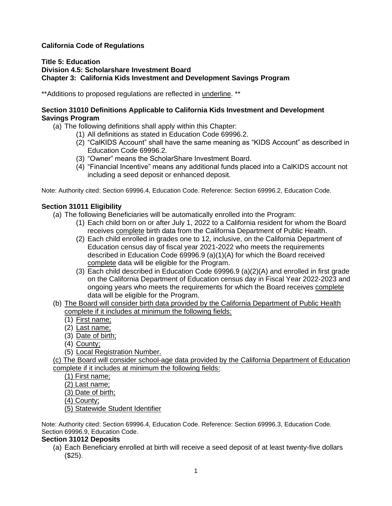# **California Code of Regulations**

#### **Title 5: Education Division 4.5: Scholarshare Investment Board Chapter 3: California Kids Investment and Development Savings Program**

\*\*Additions to proposed regulations are reflected in underline. \*\*

### **Section 31010 Definitions Applicable to California Kids Investment and Development Savings Program**

- (a) The following definitions shall apply within this Chapter:
	- (1) All definitions as stated in Education Code 69996.2.
		- (2) "CalKIDS Account" shall have the same meaning as "KIDS Account" as described in Education Code 69996.2.
		- (3) "Owner" means the ScholarShare Investment Board.
		- (4) "Financial Incentive" means any additional funds placed into a CalKIDS account not including a seed deposit or enhanced deposit.

Note: Authority cited: Section 69996.4, Education Code. Reference: Section 69996.2, Education Code.

## **Section 31011 Eligibility**

- (a) The following Beneficiaries will be automatically enrolled into the Program:
	- (1) Each child born on or after July 1, 2022 to a California resident for whom the Board receives complete birth data from the California Department of Public Health.
	- (2) Each child enrolled in grades one to 12, inclusive, on the California Department of Education census day of fiscal year 2021-2022 who meets the requirements described in Education Code 69996.9 (a)(1)(A) for which the Board received complete data will be eligible for the Program.
	- (3) Each child described in Education Code 69996.9 (a)(2)(A) and enrolled in first grade on the California Department of Education census day in Fiscal Year 2022-2023 and ongoing years who meets the requirements for which the Board receives complete data will be eligible for the Program.
- (b) The Board will consider birth data provided by the California Department of Public Health complete if it includes at minimum the following fields:
	- (1) First name;
	- (2) Last name;
	- (3) Date of birth;
	- (4) County;
	- (5) Local Registration Number.

(c) The Board will consider school-age data provided by the California Department of Education complete if it includes at minimum the following fields:

(1) First name;

(2) Last name;

(3) Date of birth;

(4) County;

(5) Statewide Student Identifier

Note: Authority cited: Section 69996.4, Education Code. Reference: Section 69996.3, Education Code. Section 69996.9, Education Code.

### **Section 31012 Deposits**

(a) Each Beneficiary enrolled at birth will receive a seed deposit of at least twenty-five dollars (\$25).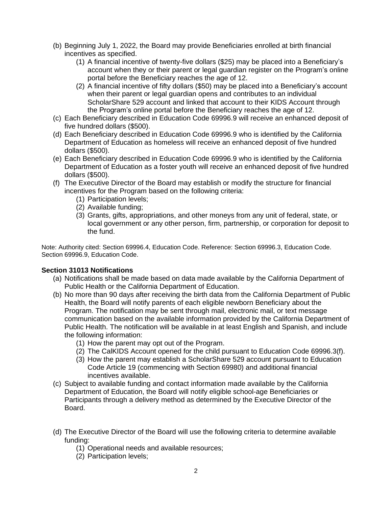- (b) Beginning July 1, 2022, the Board may provide Beneficiaries enrolled at birth financial incentives as specified.
	- (1) A financial incentive of twenty-five dollars (\$25) may be placed into a Beneficiary's account when they or their parent or legal guardian register on the Program's online portal before the Beneficiary reaches the age of 12.
	- (2) A financial incentive of fifty dollars (\$50) may be placed into a Beneficiary's account when their parent or legal guardian opens and contributes to an individual ScholarShare 529 account and linked that account to their KIDS Account through the Program's online portal before the Beneficiary reaches the age of 12.
- (c) Each Beneficiary described in Education Code 69996.9 will receive an enhanced deposit of five hundred dollars (\$500).
- (d) Each Beneficiary described in Education Code 69996.9 who is identified by the California Department of Education as homeless will receive an enhanced deposit of five hundred dollars (\$500).
- (e) Each Beneficiary described in Education Code 69996.9 who is identified by the California Department of Education as a foster youth will receive an enhanced deposit of five hundred dollars (\$500).
- (f) The Executive Director of the Board may establish or modify the structure for financial incentives for the Program based on the following criteria:
	- (1) Participation levels;
	- (2) Available funding;
	- (3) Grants, gifts, appropriations, and other moneys from any unit of federal, state, or local government or any other person, firm, partnership, or corporation for deposit to the fund.

Note: Authority cited: Section 69996.4, Education Code. Reference: Section 69996.3, Education Code. Section 69996.9, Education Code.

### **Section 31013 Notifications**

- (a) Notifications shall be made based on data made available by the California Department of Public Health or the California Department of Education.
- (b) No more than 90 days after receiving the birth data from the California Department of Public Health, the Board will notify parents of each eligible newborn Beneficiary about the Program. The notification may be sent through mail, electronic mail, or text message communication based on the available information provided by the California Department of Public Health. The notification will be available in at least English and Spanish, and include the following information:
	- (1) How the parent may opt out of the Program.
	- (2) The CalKIDS Account opened for the child pursuant to Education Code 69996.3(f).
	- (3) How the parent may establish a ScholarShare 529 account pursuant to Education Code Article 19 (commencing with Section 69980) and additional financial incentives available.
- (c) Subject to available funding and contact information made available by the California Department of Education, the Board will notify eligible school-age Beneficiaries or Participants through a delivery method as determined by the Executive Director of the Board.
- (d) The Executive Director of the Board will use the following criteria to determine available funding:
	- (1) Operational needs and available resources;
	- (2) Participation levels;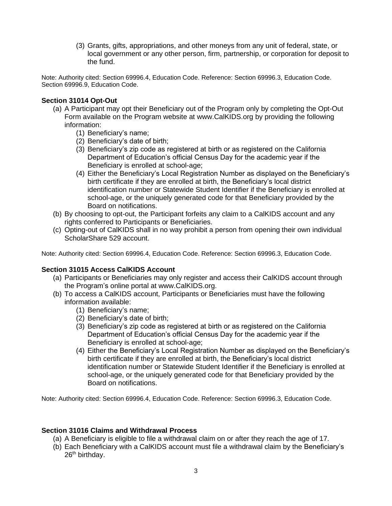(3) Grants, gifts, appropriations, and other moneys from any unit of federal, state, or local government or any other person, firm, partnership, or corporation for deposit to the fund.

Note: Authority cited: Section 69996.4, Education Code. Reference: Section 69996.3, Education Code. Section 69996.9, Education Code.

### **Section 31014 Opt-Out**

- (a) A Participant may opt their Beneficiary out of the Program only by completing the Opt-Out Form available on the Program website at [www.CalKIDS.org](http://www.calkids.org/) by providing the following information:
	- (1) Beneficiary's name;
	- (2) Beneficiary's date of birth;
	- (3) Beneficiary's zip code as registered at birth or as registered on the California Department of Education's official Census Day for the academic year if the Beneficiary is enrolled at school-age;
	- (4) Either the Beneficiary's Local Registration Number as displayed on the Beneficiary's birth certificate if they are enrolled at birth, the Beneficiary's local district identification number or Statewide Student Identifier if the Beneficiary is enrolled at school-age, or the uniquely generated code for that Beneficiary provided by the Board on notifications.
- (b) By choosing to opt-out, the Participant forfeits any claim to a CalKIDS account and any rights conferred to Participants or Beneficiaries.
- (c) Opting-out of CalKIDS shall in no way prohibit a person from opening their own individual ScholarShare 529 account.

Note: Authority cited: Section 69996.4, Education Code. Reference: Section 69996.3, Education Code.

#### **Section 31015 Access CalKIDS Account**

- (a) Participants or Beneficiaries may only register and access their CalKIDS account through the Program's online portal at [www.CalKIDS.org.](http://www.calkids.org/)
- (b) To access a CalKIDS account, Participants or Beneficiaries must have the following information available:
	- (1) Beneficiary's name;
	- (2) Beneficiary's date of birth;
	- (3) Beneficiary's zip code as registered at birth or as registered on the California Department of Education's official Census Day for the academic year if the Beneficiary is enrolled at school-age;
	- (4) Either the Beneficiary's Local Registration Number as displayed on the Beneficiary's birth certificate if they are enrolled at birth, the Beneficiary's local district identification number or Statewide Student Identifier if the Beneficiary is enrolled at school-age, or the uniquely generated code for that Beneficiary provided by the Board on notifications.

Note: Authority cited: Section 69996.4, Education Code. Reference: Section 69996.3, Education Code.

#### **Section 31016 Claims and Withdrawal Process**

- (a) A Beneficiary is eligible to file a withdrawal claim on or after they reach the age of 17.
- (b) Each Beneficiary with a CalKIDS account must file a withdrawal claim by the Beneficiary's 26<sup>th</sup> birthday.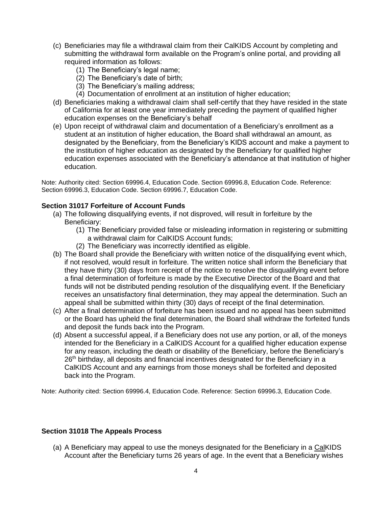- (c) Beneficiaries may file a withdrawal claim from their CalKIDS Account by completing and submitting the withdrawal form available on the Program's online portal, and providing all required information as follows:
	- (1) The Beneficiary's legal name;
	- (2) The Beneficiary's date of birth;
	- (3) The Beneficiary's mailing address;
	- (4) Documentation of enrollment at an institution of higher education;
- (d) Beneficiaries making a withdrawal claim shall self-certify that they have resided in the state of California for at least one year immediately preceding the payment of qualified higher education expenses on the Beneficiary's behalf
- (e) Upon receipt of withdrawal claim and documentation of a Beneficiary's enrollment as a student at an institution of higher education, the Board shall withdrawal an amount, as designated by the Beneficiary, from the Beneficiary's KIDS account and make a payment to the institution of higher education as designated by the Beneficiary for qualified higher education expenses associated with the Beneficiary's attendance at that institution of higher education.

Note: Authority cited: Section 69996.4, Education Code. Section 69996.8, Education Code. Reference: Section 69996.3, Education Code. Section 69996.7, Education Code.

#### **Section 31017 Forfeiture of Account Funds**

- (a) The following disqualifying events, if not disproved, will result in forfeiture by the Beneficiary:
	- (1) The Beneficiary provided false or misleading information in registering or submitting a withdrawal claim for CalKIDS Account funds;
	- (2) The Beneficiary was incorrectly identified as eligible.
- (b) The Board shall provide the Beneficiary with written notice of the disqualifying event which, if not resolved, would result in forfeiture. The written notice shall inform the Beneficiary that they have thirty (30) days from receipt of the notice to resolve the disqualifying event before a final determination of forfeiture is made by the Executive Director of the Board and that funds will not be distributed pending resolution of the disqualifying event. If the Beneficiary receives an unsatisfactory final determination, they may appeal the determination. Such an appeal shall be submitted within thirty (30) days of receipt of the final determination.
- (c) After a final determination of forfeiture has been issued and no appeal has been submitted or the Board has upheld the final determination, the Board shall withdraw the forfeited funds and deposit the funds back into the Program.
- (d) Absent a successful appeal, if a Beneficiary does not use any portion, or all, of the moneys intended for the Beneficiary in a CalKIDS Account for a qualified higher education expense for any reason, including the death or disability of the Beneficiary, before the Beneficiary's 26<sup>th</sup> birthday, all deposits and financial incentives designated for the Beneficiary in a CalKIDS Account and any earnings from those moneys shall be forfeited and deposited back into the Program.

Note: Authority cited: Section 69996.4, Education Code. Reference: Section 69996.3, Education Code.

#### **Section 31018 The Appeals Process**

(a) A Beneficiary may appeal to use the moneys designated for the Beneficiary in a CalKIDS Account after the Beneficiary turns 26 years of age. In the event that a Beneficiary wishes